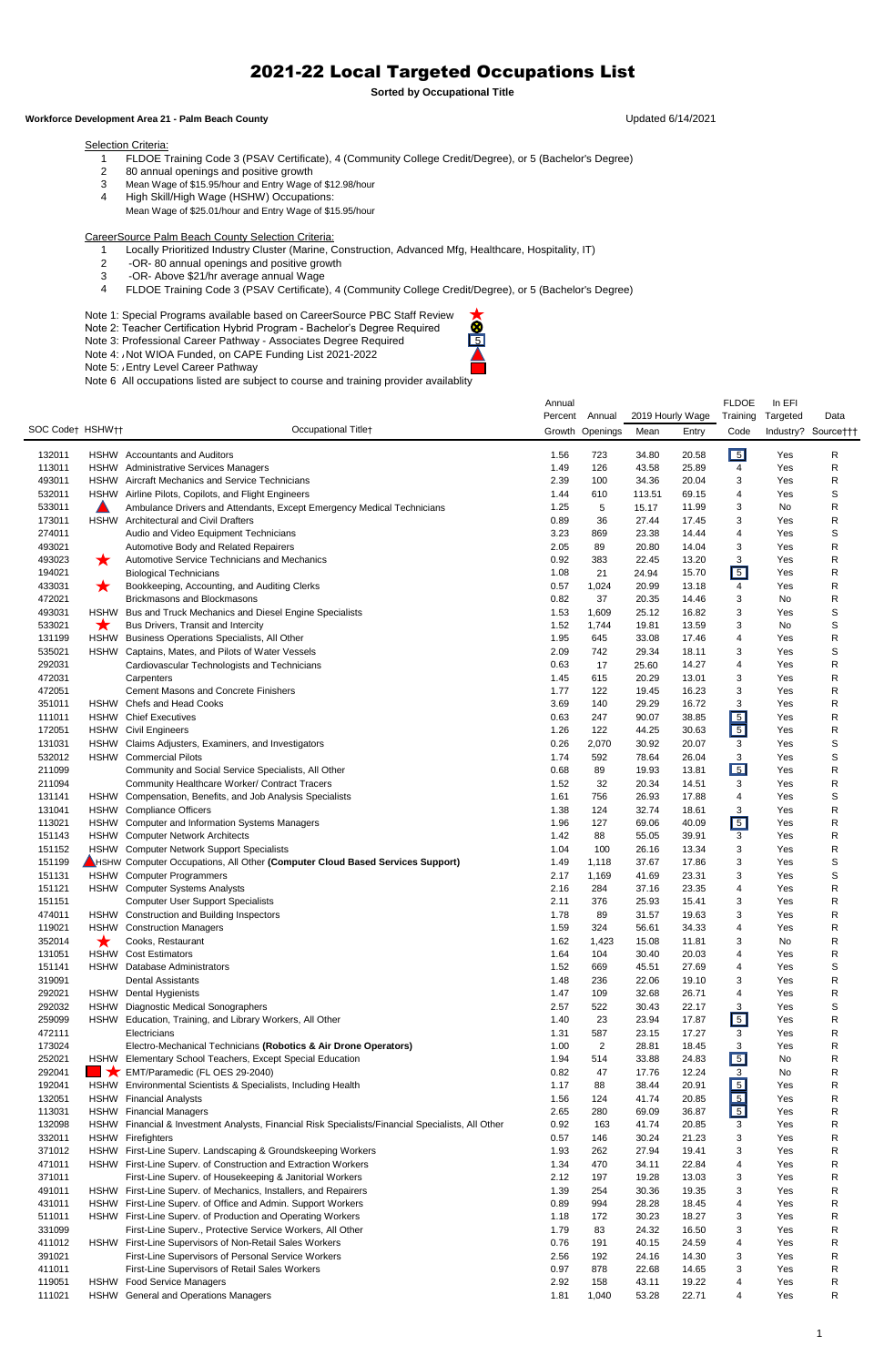- FLDOE Training Code 3 (PSAV Certificate), 4 (Community College Credit/Degree), or 5 (Bachelor's Degree)
- 80 annual openings and positive growth
- Mean Wage of \$15.95/hour and Entry Wage of \$12.98/hour
- High Skill/High Wage (HSHW) Occupations:
- Mean Wage of \$25.01/hour and Entry Wage of \$15.95/hour

CareerSource Palm Beach County Selection Criteria:

Note 1: Special Programs available based on CareerSource PBC Staff Review Note 2: Teacher Certification Hybrid Program - Bachelor's Degree Required Note 1: Special Programs available based on CareerSource PBC Staff Review<br>Note 2: Teacher Certification Hybrid Program - Bachelor's Degree Required<br>Note 3: Professional Career Pathway - Associates Degree Required

Note 4: Not WIOA Funded, on CAPE Funding List 2021-2022

Note 5: All Entry Level Career Pathway

- Locally Prioritized Industry Cluster (Marine, Construction, Advanced Mfg, Healthcare, Hospitality, IT)
- 2 -OR- 80 annual openings and positive growth
- 3 -OR- Above \$21/hr average annual Wage
- FLDOE Training Code 3 (PSAV Certificate), 4 (Community College Credit/Degree), or 5 (Bachelor's Degree)

Note 6 All occupations listed are subject to course and training provider availablity

|                  |                  |                                                                                              | Annual       |                 |                |                  | <b>FLDOE</b>     | In EFI     |                     |
|------------------|------------------|----------------------------------------------------------------------------------------------|--------------|-----------------|----------------|------------------|------------------|------------|---------------------|
|                  |                  |                                                                                              | Percent      | Annual          |                | 2019 Hourly Wage | Training         | Targeted   | Data                |
| SOC Code† HSHW†† |                  | Occupational Titlet                                                                          |              | Growth Openings | Mean           | Entry            | Code             |            | Industry? Source††† |
|                  |                  |                                                                                              |              |                 |                |                  |                  |            |                     |
| 132011           |                  | HSHW Accountants and Auditors                                                                | 1.56         | 723             | 34.80          | 20.58            | $\boxed{5}$      | Yes        | R                   |
| 113011           |                  | HSHW Administrative Services Managers                                                        | 1.49         | 126             | 43.58          | 25.89            | 4                | Yes        | R                   |
| 493011           |                  | HSHW Aircraft Mechanics and Service Technicians                                              | 2.39         | 100             | 34.36          | 20.04            | 3                | Yes        | R                   |
| 532011           |                  | HSHW Airline Pilots, Copilots, and Flight Engineers                                          | 1.44         | 610             | 113.51         | 69.15            | 4                | Yes        | S                   |
| 533011           |                  | Ambulance Drivers and Attendants, Except Emergency Medical Technicians                       | 1.25         | 5               | 15.17          | 11.99            | 3                | No         | R                   |
| 173011           | <b>HSHW</b>      | <b>Architectural and Civil Drafters</b>                                                      | 0.89         | 36              | 27.44          | 17.45            | 3                | Yes        | R                   |
| 274011           |                  | Audio and Video Equipment Technicians                                                        | 3.23         | 869             | 23.38          | 14.44            | 4<br>3           | Yes<br>Yes | S                   |
| 493021<br>493023 |                  | Automotive Body and Related Repairers<br>Automotive Service Technicians and Mechanics        | 2.05         | 89<br>383       | 20.80          | 14.04            |                  | Yes        | R                   |
|                  | $\bigstar$       |                                                                                              | 0.92         |                 | 22.45          | 13.20            | 3<br>$\boxed{5}$ | Yes        | R                   |
| 194021<br>433031 |                  | <b>Biological Technicians</b><br>Bookkeeping, Accounting, and Auditing Clerks                | 1.08<br>0.57 | 21<br>1,024     | 24.94<br>20.99 | 15.70<br>13.18   | 4                | Yes        | R<br>R              |
| 472021           | ★                | <b>Brickmasons and Blockmasons</b>                                                           | 0.82         | 37              | 20.35          | 14.46            | 3                | No         | R                   |
| 493031           | <b>HSHW</b>      | Bus and Truck Mechanics and Diesel Engine Specialists                                        | 1.53         | 1,609           | 25.12          | 16.82            | 3                | Yes        | S                   |
| 533021           |                  | Bus Drivers, Transit and Intercity                                                           | 1.52         | 1,744           | 19.81          | 13.59            | 3                | No         | S                   |
| 131199           | ★<br><b>HSHW</b> | Business Operations Specialists, All Other                                                   | 1.95         | 645             | 33.08          | 17.46            | 4                | Yes        | R                   |
| 535021           | <b>HSHW</b>      | Captains, Mates, and Pilots of Water Vessels                                                 | 2.09         | 742             | 29.34          | 18.11            | 3                | Yes        | S                   |
| 292031           |                  |                                                                                              | 0.63         | 17              | 25.60          | 14.27            | 4                | Yes        | R                   |
| 472031           |                  | Cardiovascular Technologists and Technicians<br>Carpenters                                   | 1.45         | 615             | 20.29          | 13.01            | 3                | Yes        | R                   |
| 472051           |                  | <b>Cement Masons and Concrete Finishers</b>                                                  | 1.77         | 122             | 19.45          | 16.23            | 3                | Yes        | R                   |
| 351011           |                  | HSHW Chefs and Head Cooks                                                                    | 3.69         | 140             | 29.29          | 16.72            | 3                | Yes        | R                   |
| 111011           |                  | <b>HSHW</b> Chief Executives                                                                 | 0.63         | 247             | 90.07          | 38.85            | $\boxed{5}$      | Yes        | R                   |
| 172051           |                  | <b>HSHW</b> Civil Engineers                                                                  | 1.26         | 122             | 44.25          | 30.63            | $\boxed{5}$      | Yes        | R                   |
| 131031           |                  | HSHW Claims Adjusters, Examiners, and Investigators                                          | 0.26         | 2,070           | 30.92          | 20.07            | 3                | Yes        | S                   |
| 532012           |                  | <b>HSHW</b> Commercial Pilots                                                                | 1.74         | 592             | 78.64          | 26.04            | 3                | Yes        | S                   |
| 211099           |                  | Community and Social Service Specialists, All Other                                          | 0.68         | 89              | 19.93          | 13.81            | $\overline{5}$   | Yes        | R                   |
| 211094           |                  | Community Healthcare Worker/ Contract Tracers                                                | 1.52         | 32              | 20.34          | 14.51            | 3                | Yes        | R                   |
| 131141           |                  | HSHW Compensation, Benefits, and Job Analysis Specialists                                    | 1.61         | 756             | 26.93          | 17.88            | 4                | Yes        | S                   |
| 131041           |                  | HSHW Compliance Officers                                                                     | 1.38         | 124             | 32.74          | 18.61            | 3                | Yes        | R                   |
| 113021           | HSHW             | <b>Computer and Information Systems Managers</b>                                             | 1.96         | 127             | 69.06          | 40.09            | $\boxed{5}$      | Yes        | R                   |
| 151143           | HSHW             | <b>Computer Network Architects</b>                                                           | 1.42         | 88              | 55.05          | 39.91            | 3                | Yes        | R                   |
| 151152           |                  | HSHW Computer Network Support Specialists                                                    | 1.04         | 100             | 26.16          | 13.34            | 3                | Yes        | R                   |
| 151199           |                  | HSHW Computer Occupations, All Other (Computer Cloud Based Services Support)                 | 1.49         | 1,118           | 37.67          | 17.86            | 3                | Yes        | S                   |
| 151131           |                  | HSHW Computer Programmers                                                                    | 2.17         | 1,169           | 41.69          | 23.31            | 3                | Yes        | S                   |
| 151121           |                  | HSHW Computer Systems Analysts                                                               | 2.16         | 284             | 37.16          | 23.35            | 4                | Yes        | R                   |
| 151151           |                  | <b>Computer User Support Specialists</b>                                                     | 2.11         | 376             | 25.93          | 15.41            | 3                | Yes        | R                   |
| 474011           |                  | HSHW Construction and Building Inspectors                                                    | 1.78         | 89              | 31.57          | 19.63            | 3                | Yes        | R                   |
| 119021           | HSHW             | <b>Construction Managers</b>                                                                 | 1.59         | 324             | 56.61          | 34.33            | 4                | Yes        | R                   |
| 352014           | $\bigstar$       | Cooks, Restaurant                                                                            | 1.62         | 1,423           | 15.08          | 11.81            | 3                | No         | R                   |
| 131051           |                  | <b>HSHW</b> Cost Estimators                                                                  | 1.64         | 104             | 30.40          | 20.03            | 4                | Yes        | R                   |
| 151141           | <b>HSHW</b>      | <b>Database Administrators</b>                                                               | 1.52         | 669             | 45.51          | 27.69            | 4                | Yes        | S                   |
| 319091           |                  | <b>Dental Assistants</b>                                                                     | 1.48         | 236             | 22.06          | 19.10            | 3                | Yes        | R                   |
| 292021           |                  | HSHW Dental Hygienists                                                                       | 1.47         | 109             | 32.68          | 26.71            | 4                | Yes        | R                   |
| 292032           |                  | HSHW Diagnostic Medical Sonographers                                                         | 2.57         | 522             | 30.43          | 22.17            | 3                | Yes        | S                   |
| 259099           |                  | HSHW Education, Training, and Library Workers, All Other                                     | 1.40         | 23              | 23.94          | 17.87            | $\boxed{5}$      | Yes        | R                   |
| 472111           |                  | Electricians                                                                                 | 1.31         | 587             | 23.15          | 17.27            | 3                | Yes        | R                   |
| 173024           |                  | Electro-Mechanical Technicians (Robotics & Air Drone Operators)                              | 1.00         | $\overline{c}$  | 28.81          | 18.45            | 3                | Yes        | R                   |
| 252021           |                  | HSHW Elementary School Teachers, Except Special Education                                    | 1.94         | 514             | 33.88          | 24.83            | $\boxed{5}$      | No         | R                   |
| 292041           |                  | $\blacktriangleright$ EMT/Paramedic (FL OES 29-2040)                                         | 0.82         | 47              | 17.76          | 12.24            | 3                | No         | R                   |
| 192041           |                  | HSHW Environmental Scientists & Specialists, Including Health                                | 1.17         | 88              | 38.44          | 20.91            | $\boxed{5}$      | Yes        | R                   |
| 132051           |                  | <b>HSHW</b> Financial Analysts                                                               | 1.56         | 124             | 41.74          | 20.85            | $\boxed{5}$      | Yes        | R                   |
| 113031           | HSHW             | <b>Financial Managers</b>                                                                    | 2.65         | 280             | 69.09          | 36.87            | $\boxed{5}$      | Yes        | R                   |
| 132098           | <b>HSHW</b>      | Financial & Investment Analysts, Financial Risk Specialists/Financial Specialists, All Other | 0.92         | 163             | 41.74          | 20.85            | 3                | Yes        | R                   |
| 332011           |                  | HSHW Firefighters                                                                            | 0.57         | 146             | 30.24          | 21.23            | 3                | Yes        | R                   |
| 371012           |                  | HSHW First-Line Superv. Landscaping & Groundskeeping Workers                                 | 1.93         | 262             | 27.94          | 19.41            | 3                | Yes        | R                   |
| 471011           | <b>HSHW</b>      | First-Line Superv. of Construction and Extraction Workers                                    | 1.34         | 470             | 34.11          | 22.84            | 4                | Yes        | R                   |
| 371011           |                  | First-Line Superv. of Housekeeping & Janitorial Workers                                      | 2.12         | 197             | 19.28          | 13.03            | 3                | Yes        | R                   |
| 491011           |                  | HSHW First-Line Superv. of Mechanics, Installers, and Repairers                              | 1.39         | 254             | 30.36          | 19.35            | 3                | Yes        | R                   |
| 431011           | <b>HSHW</b>      | First-Line Superv. of Office and Admin. Support Workers                                      | 0.89         | 994             | 28.28          | 18.45            | 4                | Yes        | R                   |
| 511011           |                  | HSHW First-Line Superv. of Production and Operating Workers                                  | 1.18         | 172             | 30.23          | 18.27            | 3                | Yes        | R                   |
| 331099           |                  | First-Line Superv., Protective Service Workers, All Other                                    | 1.79         | 83              | 24.32          | 16.50            | 3                | Yes        | R                   |
| 411012           | <b>HSHW</b>      | First-Line Supervisors of Non-Retail Sales Workers                                           | 0.76         | 191             | 40.15          | 24.59            | 4                | Yes        | R                   |
| 391021           |                  | First-Line Supervisors of Personal Service Workers                                           | 2.56         | 192             | 24.16          | 14.30            | 3                | Yes        | R                   |
| 411011           |                  | First-Line Supervisors of Retail Sales Workers                                               | 0.97         | 878             | 22.68          | 14.65            | 3                | Yes        | R                   |
| 119051           | <b>HSHW</b>      | <b>Food Service Managers</b>                                                                 | 2.92         | 158             | 43.11          | 19.22            | 4                | Yes        | R                   |
| 111021           |                  | HSHW General and Operations Managers                                                         | 1.81         | 1,040           | 53.28          | 22.71            | 4                | Yes        | R                   |



## 2021-22 Local Targeted Occupations List

**Sorted by Occupational Title**

## Workforce Development Area 21 - Palm Beach County **Notifiable 2004** Updated 6/14/2021

## **Selection Criteria:**